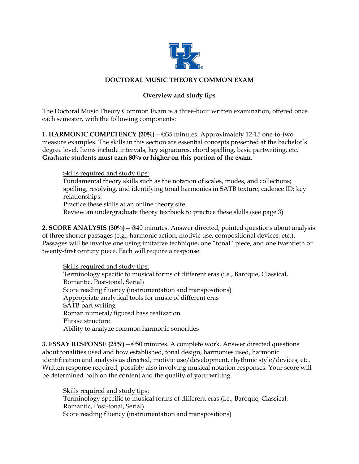

### **DOCTORAL MUSIC THEORY COMMON EXAM**

# **Overview and study tips**

The Doctoral Music Theory Common Exam is a three-hour written examination, offered once each semester, with the following components:

**1. HARMONIC COMPETENCY (20%)**—@35 minutes. Approximately 12-15 one-to-two measure examples. The skills in this section are essential concepts presented at the bachelor's degree level. Items include intervals, key signatures, chord spelling, basic partwriting, etc. **Graduate students must earn 80% or higher on this portion of the exam.**

Skills required and study tips:

Fundamental theory skills such as the notation of scales, modes, and collections; spelling, resolving, and identifying tonal harmonies in SATB texture; cadence ID; key relationships.

Practice these skills at an online theory site.

Review an undergraduate theory textbook to practice these skills (see page 3)

**2. SCORE ANALYSIS (30%)**—@40 minutes. Answer directed, pointed questions about analysis of three shorter passages (e.g., harmonic action, motivic use, compositional devices, etc.). Passages will be involve one using imitative technique, one "tonal" piece, and one twentieth or twenty-first century piece. Each will require a response.

Skills required and study tips: Terminology specific to musical forms of different eras (i.e., Baroque, Classical, Romantic, Post-tonal, Serial) Score reading fluency (instrumentation and transpositions) Appropriate analytical tools for music of different eras SATB part writing Roman numeral/figured bass realization Phrase structure Ability to analyze common harmonic sonorities

**3. ESSAY RESPONSE (25%)**—@50 minutes. A complete work. Answer directed questions about tonalities used and how established, tonal design, harmonies used, harmonic identification and analysis as directed, motivic use/development, rhythmic style/devices, etc. Written response required, possibly also involving musical notation responses. Your score will be determined both on the content and the quality of your writing.

Skills required and study tips: Terminology specific to musical forms of different eras (i.e., Baroque, Classical, Romantic, Post-tonal, Serial) Score reading fluency (instrumentation and transpositions)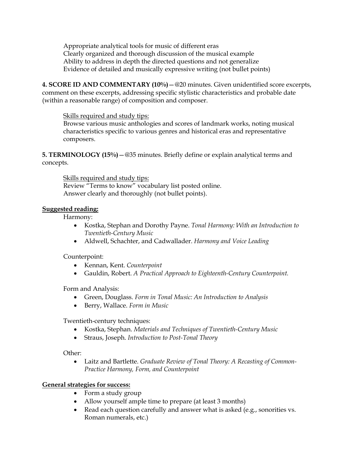Appropriate analytical tools for music of different eras Clearly organized and thorough discussion of the musical example Ability to address in depth the directed questions and not generalize Evidence of detailed and musically expressive writing (not bullet points)

**4. SCORE ID AND COMMENTARY (10%)**—@20 minutes. Given unidentified score excerpts, comment on these excerpts, addressing specific stylistic characteristics and probable date (within a reasonable range) of composition and composer.

## Skills required and study tips:

Browse various music anthologies and scores of landmark works, noting musical characteristics specific to various genres and historical eras and representative composers.

**5. TERMINOLOGY (15%)**—@35 minutes. Briefly define or explain analytical terms and concepts.

Skills required and study tips:

Review "Terms to know" vocabulary list posted online. Answer clearly and thoroughly (not bullet points).

# **Suggested reading:**

Harmony:

- Kostka, Stephan and Dorothy Payne. *Tonal Harmony: With an Introduction to Twentieth-Century Music*
- Aldwell, Schachter, and Cadwallader. *Harmony and Voice Leading*

Counterpoint:

- Kennan, Kent. *Counterpoint*
- Gauldin, Robert. *A Practical Approach to Eighteenth-Century Counterpoint.*

Form and Analysis:

- Green, Douglass. *Form in Tonal Music: An Introduction to Analysis*
- Berry, Wallace. *Form in Music*

Twentieth-century techniques:

- Kostka, Stephan. *Materials and Techniques of Twentieth-Century Music*
- Straus, Joseph. *Introduction to Post-Tonal Theory*

Other:

• Laitz and Bartlette. *Graduate Review of Tonal Theory: A Recasting of Common-Practice Harmony, Form, and Counterpoint*

# **General strategies for success:**

- Form a study group
- Allow yourself ample time to prepare (at least 3 months)
- Read each question carefully and answer what is asked (e.g., sonorities vs. Roman numerals, etc.)